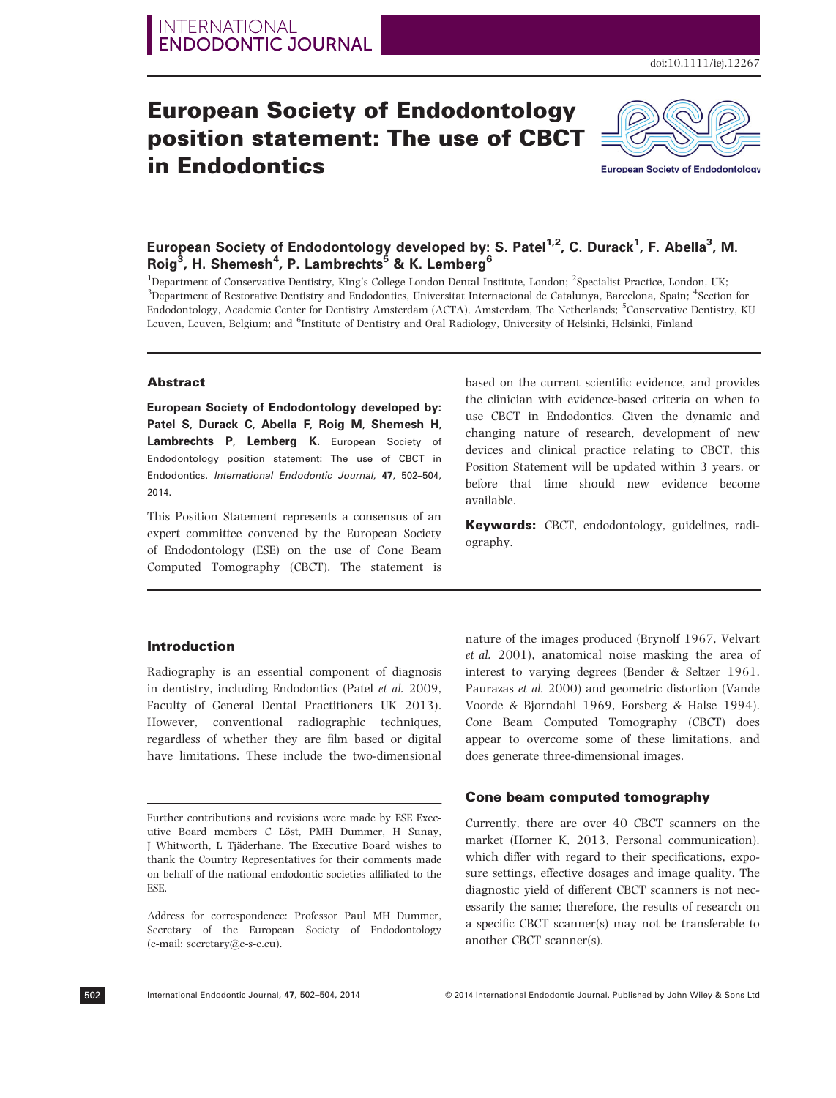# European Society of Endodontology position statement: The use of CBCT in Endodontics



**European Society of Endodontology** 

# European Society of Endodontology developed by: S. Patel<sup>1,2</sup>, C. Durack<sup>1</sup>, F. Abella<sup>3</sup>, M. Roig $^3$ , H. Shemesh $^4$ , P. Lambrechts $^5$  & K. Lemberg $^6$

<sup>1</sup>Department of Conservative Dentistry, King's College London Dental Institute, London; <sup>2</sup>Specialist Practice, London, UK; <sup>3</sup>Department of Restorative Dentistry and Endodontics, Universitat Internacional de Catalunya, Barcelona, Spain; <sup>4</sup>Section for Endodontology, Academic Center for Dentistry Amsterdam (ACTA), Amsterdam, The Netherlands; <sup>5</sup>Conservative Dentistry, KU Leuven, Leuven, Belgium; and <sup>6</sup>Institute of Dentistry and Oral Radiology, University of Helsinki, Helsinki, Finland

#### Abstract

European Society of Endodontology developed by: Patel S, Durack C, Abella F, Roig M, Shemesh H, Lambrechts P, Lemberg K. European Society of Endodontology position statement: The use of CBCT in Endodontics. International Endodontic Journal, 47, 502–504, 2014.

This Position Statement represents a consensus of an expert committee convened by the European Society of Endodontology (ESE) on the use of Cone Beam Computed Tomography (CBCT). The statement is

# based on the current scientific evidence, and provides the clinician with evidence-based criteria on when to use CBCT in Endodontics. Given the dynamic and changing nature of research, development of new devices and clinical practice relating to CBCT, this Position Statement will be updated within 3 years, or before that time should new evidence become available.

Keywords: CBCT, endodontology, guidelines, radiography.

## Introduction

Radiography is an essential component of diagnosis in dentistry, including Endodontics (Patel et al. 2009, Faculty of General Dental Practitioners UK 2013). However, conventional radiographic techniques, regardless of whether they are film based or digital have limitations. These include the two-dimensional

Address for correspondence: Professor Paul MH Dummer, Secretary of the European Society of Endodontology (e-mail: secretary@e-s-e.eu).

et al. 2001), anatomical noise masking the area of interest to varying degrees (Bender & Seltzer 1961, Paurazas et al. 2000) and geometric distortion (Vande Voorde & Bjorndahl 1969, Forsberg & Halse 1994). Cone Beam Computed Tomography (CBCT) does appear to overcome some of these limitations, and does generate three-dimensional images.

nature of the images produced (Brynolf 1967, Velvart

#### Cone beam computed tomography

Currently, there are over 40 CBCT scanners on the market (Horner K, 2013, Personal communication), which differ with regard to their specifications, exposure settings, effective dosages and image quality. The diagnostic yield of different CBCT scanners is not necessarily the same; therefore, the results of research on a specific CBCT scanner(s) may not be transferable to another CBCT scanner(s).

502

Further contributions and revisions were made by ESE Executive Board members C Löst, PMH Dummer, H Sunay, J Whitworth, L Tjäderhane. The Executive Board wishes to thank the Country Representatives for their comments made on behalf of the national endodontic societies affiliated to the ESE.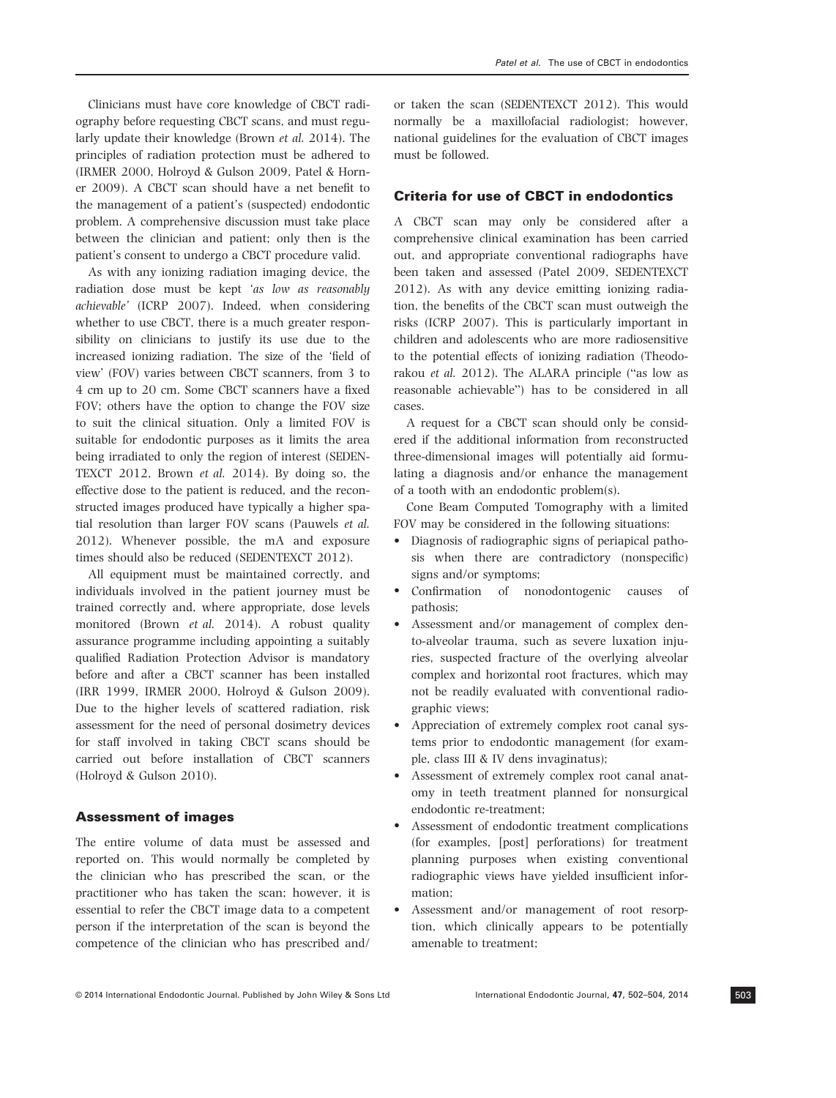Clinicians must have core knowledge of CBCT radiography before requesting CBCT scans, and must regularly update their knowledge (Brown et al. 2014). The principles of radiation protection must be adhered to (IRMER 2000, Holroyd & Gulson 2009, Patel & Horner 2009). A CBCT scan should have a net benefit to the management of a patient's (suspected) endodontic problem. A comprehensive discussion must take place between the clinician and patient; only then is the patient's consent to undergo a CBCT procedure valid.

As with any ionizing radiation imaging device, the radiation dose must be kept 'as low as reasonably achievable' (ICRP 2007). Indeed, when considering whether to use CBCT, there is a much greater responsibility on clinicians to justify its use due to the increased ionizing radiation. The size of the 'field of view' (FOV) varies between CBCT scanners, from 3 to 4 cm up to 20 cm. Some CBCT scanners have a fixed FOV; others have the option to change the FOV size to suit the clinical situation. Only a limited FOV is suitable for endodontic purposes as it limits the area being irradiated to only the region of interest (SEDEN-TEXCT 2012, Brown et al. 2014). By doing so, the effective dose to the patient is reduced, and the reconstructed images produced have typically a higher spatial resolution than larger FOV scans (Pauwels et al. 2012). Whenever possible, the mA and exposure times should also be reduced (SEDENTEXCT 2012).

All equipment must be maintained correctly, and individuals involved in the patient journey must be trained correctly and, where appropriate, dose levels monitored (Brown et al. 2014). A robust quality assurance programme including appointing a suitably qualified Radiation Protection Advisor is mandatory before and after a CBCT scanner has been installed (IRR 1999, IRMER 2000, Holroyd & Gulson 2009). Due to the higher levels of scattered radiation, risk assessment for the need of personal dosimetry devices for staff involved in taking CBCT scans should be carried out before installation of CBCT scanners (Holroyd & Gulson 2010).

#### Assessment of images

The entire volume of data must be assessed and reported on. This would normally be completed by the clinician who has prescribed the scan, or the practitioner who has taken the scan; however, it is essential to refer the CBCT image data to a competent person if the interpretation of the scan is beyond the competence of the clinician who has prescribed and/ or taken the scan (SEDENTEXCT 2012). This would normally be a maxillofacial radiologist; however, national guidelines for the evaluation of CBCT images must be followed.

## Criteria for use of CBCT in endodontics

A CBCT scan may only be considered after a comprehensive clinical examination has been carried out, and appropriate conventional radiographs have been taken and assessed (Patel 2009, SEDENTEXCT 2012). As with any device emitting ionizing radiation, the benefits of the CBCT scan must outweigh the risks (ICRP 2007). This is particularly important in children and adolescents who are more radiosensitive to the potential effects of ionizing radiation (Theodorakou et al. 2012). The ALARA principle ("as low as reasonable achievable") has to be considered in all cases.

A request for a CBCT scan should only be considered if the additional information from reconstructed three-dimensional images will potentially aid formulating a diagnosis and/or enhance the management of a tooth with an endodontic problem(s).

Cone Beam Computed Tomography with a limited FOV may be considered in the following situations:

- Diagnosis of radiographic signs of periapical pathosis when there are contradictory (nonspecific) signs and/or symptoms;
- Confirmation of nonodontogenic causes of pathosis;
- Assessment and/or management of complex dento-alveolar trauma, such as severe luxation injuries, suspected fracture of the overlying alveolar complex and horizontal root fractures, which may not be readily evaluated with conventional radiographic views;
- Appreciation of extremely complex root canal systems prior to endodontic management (for example, class III & IV dens invaginatus);
- Assessment of extremely complex root canal anatomy in teeth treatment planned for nonsurgical endodontic re-treatment;
- Assessment of endodontic treatment complications (for examples, [post] perforations) for treatment planning purposes when existing conventional radiographic views have yielded insufficient information;
- Assessment and/or management of root resorption, which clinically appears to be potentially amenable to treatment;